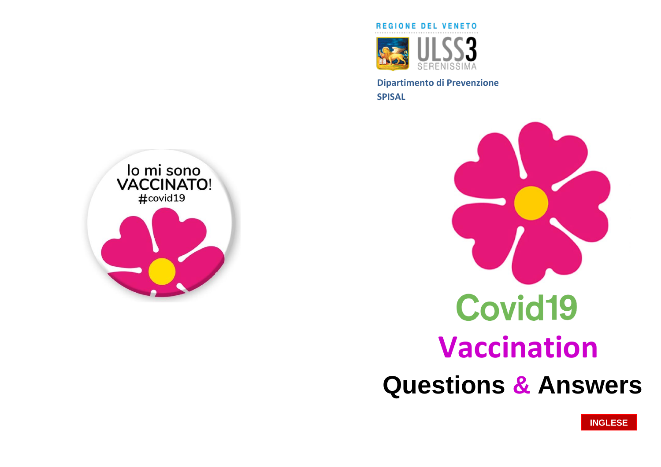

SERENISSIMA<br>Dipartimento di Prevenzione **Dipartimento di Prevenzione SPISAL**





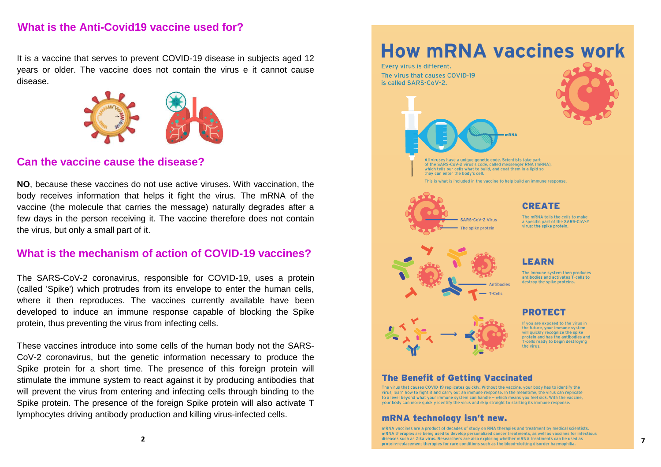## **What is the Anti -Covid19 vaccine used for?**

It is a vaccine that serves to prevent COVID -19 disease in subjects aged 12 years or older. The vaccine does not contain the virus e it cannot cause disease .



#### **Can the vaccine cause the disease? Can the vaccine cause the disease?**  $\overline{\phantom{a}}$

NO, because these vaccines do not use active viruses. With vaccination, the body receives information that helps it fight the virus. The mRNA of the vaccine (the molecule that carries the message) naturally degrades after a few days in the person receiving it. The vaccine therefore does not contain Come per tutti i farmaci, sono inoltre possibili, seppur rarissime, the virus, but only a small part of it.

#### What is the mechanism of action of COVID-19 vaccines? vaccio di vengono estati vengono eseguito in contesti sicuri da personale in contesti sicuri da personale in c<br>Internationale in contesti sicuri da personale in contesti sicuri da personale in contesti sicuri da personale

addes  $\alpha$  becomes un periodo di almeno 15 de estrato di almeno 15 de estrato di almeno 15 de estrato di almen The SARS-CoV-2 coronavirus, responsible for COVID-19, uses a protein where it then reproduces. The vaccines currently available have been developed to induce an immune response capable of blocking the Spike protein, thus preventing the virus from infecting cells. (called 'Spike') which protrudes from its envelope to enter the human cells,

allo svenimento vero e proprio, per cui il personale presta These vaccines introduce into some cells of the human body not the SARS - CoV -2 coronavirus, but the genetic information necessary to produce the Spike protein for a short time. The presence of this foreign protein will stimulate the immune system to react against it by producing antibodies that will prevent the virus from entering and infecting cells through binding to the Spike protein. The presence of the foreign Spike protein will also activate T lymphocytes driving antibody production and killing virus -infected cells.

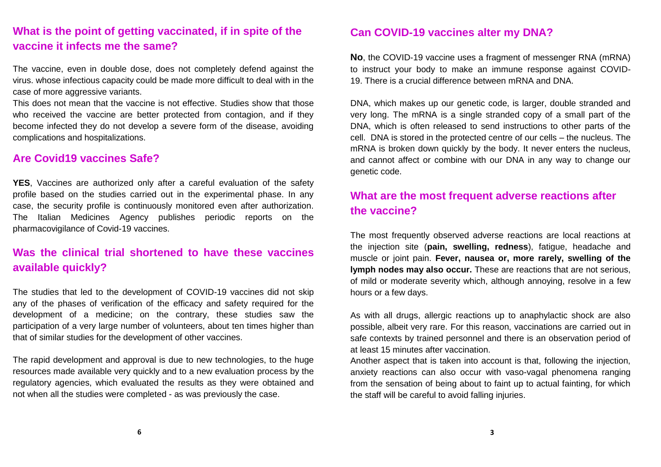## **What is the point of getting vaccinated, if in spite of the vaccine it infects me the same?**

The vaccine, even in double dose, does not completely defend against the virus. whose infectious capacity could be made more difficult to deal with in the case of more aggressive variants.

This does not mean that the vaccine is not effective. Studies show that those who received the vaccine are better protected from contagion, and if they become infected they do not develop a severe form of the disease, avoiding complications and hospitalizations.

#### **Are Covid19 vaccines Safe?**

**YES**, Vaccines are authorized only after a careful evaluation of the safety profile based on the studies carried out in the experimental phase. In any case, the security profile is continuously monitored even after authorization. The Italian Medicines Agency publishes periodic reports on the pharmacovigilance of Covid-19 vaccines.

# **Was the clinical trial shortened to have these vaccines available quickly?**

The studies that led to the development of COVID-19 vaccines did not skip any of the phases of verification of the efficacy and safety required for the development of a medicine; on the contrary, these studies saw the participation of a very large number of volunteers, about ten times higher than that of similar studies for the development of other vaccines.

The rapid development and approval is due to new technologies, to the huge resources made available very quickly and to a new evaluation process by the regulatory agencies, which evaluated the results as they were obtained and not when all the studies were completed - as was previously the case.

#### **Can COVID-19 vaccines alter my DNA?**

**No**, the COVID-19 vaccine uses a fragment of messenger RNA (mRNA) to instruct your body to make an immune response against COVID-19. There is a crucial difference between mRNA and DNA.

DNA, which makes up our genetic code, is larger, double stranded and very long. The mRNA is a single stranded copy of a small part of the DNA, which is often released to send instructions to other parts of the cell. DNA is stored in the protected centre of our cells – the nucleus. The mRNA is broken down quickly by the body. It never enters the nucleus, and cannot affect or combine with our DNA in any way to change our genetic code.

# **What are the most frequent adverse reactions after the vaccine?**

The most frequently observed adverse reactions are local reactions at the injection site (**pain, swelling, redness**), fatigue, headache and muscle or joint pain. **Fever, nausea or, more rarely, swelling of the lymph nodes may also occur.** These are reactions that are not serious, of mild or moderate severity which, although annoying, resolve in a few hours or a few days.

As with all drugs, allergic reactions up to anaphylactic shock are also possible, albeit very rare. For this reason, vaccinations are carried out in safe contexts by trained personnel and there is an observation period of at least 15 minutes after vaccination.

Another aspect that is taken into account is that, following the injection, anxiety reactions can also occur with vaso-vagal phenomena ranging from the sensation of being about to faint up to actual fainting, for which the staff will be careful to avoid falling injuries.